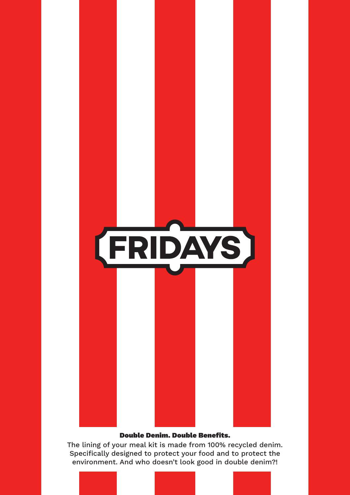

## Double Denim. Double Benefits.

The lining of your meal kit is made from 100% recycled denim. Specifically designed to protect your food and to protect the environment. And who doesn't look good in double denim?!